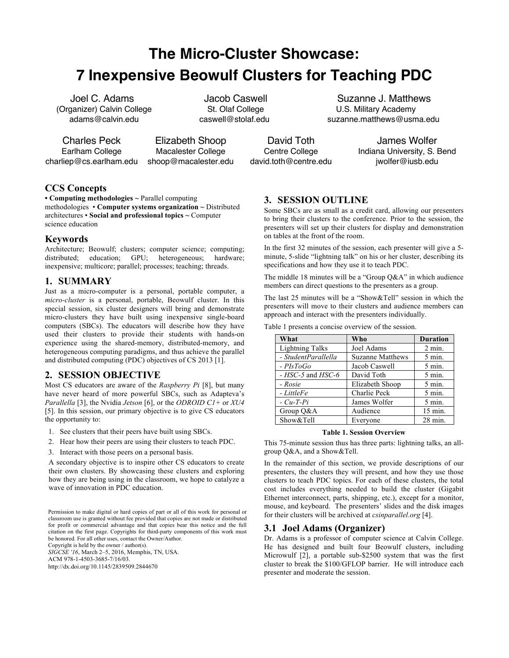# **The Micro-Cluster Showcase: 7 Inexpensive Beowulf Clusters for Teaching PDC**

Joel C. Adams (Organizer) Calvin College adams@calvin.edu

Jacob Caswell St. Olaf College caswell@stolaf.edu

Charles Peck Earlham College charliep@cs.earlham.edu

Elizabeth Shoop Macalester College shoop@macalester.edu

David Toth Centre College david.toth@centre.edu

Suzanne J. Matthews U.S. Military Academy suzanne.matthews@usma.edu

> James Wolfer Indiana University, S. Bend jwolfer@iusb.edu

# **CCS Concepts**

**• Computing methodologies ~** Parallel computing methodologies • **Computer systems organization ~** Distributed architectures • **Social and professional topics ~** Computer science education

## **Keywords**

Architecture; Beowulf; clusters; computer science; computing; distributed; education; GPU; heterogeneous; hardware; inexpensive; multicore; parallel; processes; teaching; threads.

## **1. SUMMARY**

Just as a micro-computer is a personal, portable computer, a *micro-cluster* is a personal, portable, Beowulf cluster. In this special session, six cluster designers will bring and demonstrate micro-clusters they have built using inexpensive single-board computers (SBCs). The educators will describe how they have used their clusters to provide their students with hands-on experience using the shared-memory, distributed-memory, and heterogeneous computing paradigms, and thus achieve the parallel and distributed computing (PDC) objectives of CS 2013 [1].

# **2. SESSION OBJECTIVE**

Most CS educators are aware of the *Raspberry Pi* [8], but many have never heard of more powerful SBCs, such as Adapteva's *Parallella* [3], the Nvidia *Jetson* [6], or the *ODROID C1+* or *XU4* [5]. In this session, our primary objective is to give CS educators the opportunity to:

- 1. See clusters that their peers have built using SBCs.
- 2. Hear how their peers are using their clusters to teach PDC.
- 3. Interact with those peers on a personal basis.

A secondary objective is to inspire other CS educators to create their own clusters. By showcasing these clusters and exploring how they are being using in the classroom, we hope to catalyze a wave of innovation in PDC education.

Permission to make digital or hard copies of part or all of this work for personal or classroom use is granted without fee provided that copies are not made or distributed for profit or commercial advantage and that copies bear this notice and the full citation on the first page. Copyrights for third-party components of this work must be honored. For all other uses, contact the Owner/Author.

Copyright is held by the owner / author(s). *SIGCSE '16*, March 2–5, 2016, Memphis, TN, USA. ACM 978-1-4503-3685-7/16/03. http://dx.doi.org/10.1145/2839509.2844670

# **3. SESSION OUTLINE**

Some SBCs are as small as a credit card, allowing our presenters to bring their clusters to the conference. Prior to the session, the presenters will set up their clusters for display and demonstration on tables at the front of the room.

In the first 32 minutes of the session, each presenter will give a 5 minute, 5-slide "lightning talk" on his or her cluster, describing its specifications and how they use it to teach PDC.

The middle 18 minutes will be a "Group Q&A" in which audience members can direct questions to the presenters as a group.

The last 25 minutes will be a "Show&Tell" session in which the presenters will move to their clusters and audience members can approach and interact with the presenters individually.

| What                   | Who                     | <b>Duration</b>    |
|------------------------|-------------------------|--------------------|
| <b>Lightning Talks</b> | Joel Adams              | $2 \text{ min.}$   |
| - StudentParallella    | <b>Suzanne Matthews</b> | $5 \text{ min.}$   |
| $-PIsToGo$             | Jacob Caswell           | $5 \text{ min.}$   |
| $-HSC-5$ and $HSC-6$   | David Toth              | $5 \text{ min}$ .  |
| - Rosie                | Elizabeth Shoop         | $5 \text{ min.}$   |
| - LittleFe             | Charlie Peck            | $5$ min.           |
| $-Cu-T-Pi$             | James Wolfer            | $5 \text{ min.}$   |
| Group Q&A              | Audience                | $15 \text{ min}$ . |
| Show&Tell              | Everyone                | $28 \text{ min}$ . |

Table 1 presents a concise overview of the session.

**Table 1. Session Overview**

This 75-minute session thus has three parts: lightning talks, an allgroup Q&A, and a Show&Tell.

In the remainder of this section, we provide descriptions of our presenters, the clusters they will present, and how they use those clusters to teach PDC topics. For each of these clusters, the total cost includes everything needed to build the cluster (Gigabit Ethernet interconnect, parts, shipping, etc.), except for a monitor, mouse, and keyboard. The presenters' slides and the disk images for their clusters will be archived at *csinparallel.org* [4].

## **3.1 Joel Adams (Organizer)**

Dr. Adams is a professor of computer science at Calvin College. He has designed and built four Beowulf clusters, including Microwulf [2], a portable sub-\$2500 system that was the first cluster to break the \$100/GFLOP barrier. He will introduce each presenter and moderate the session.